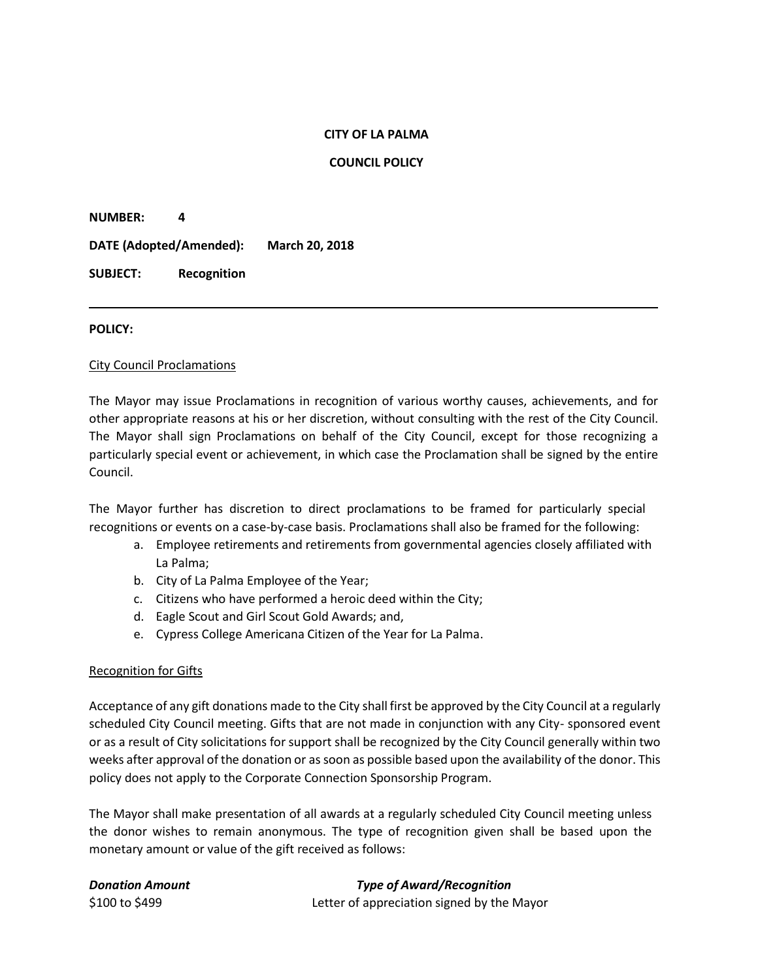### **CITY OF LA PALMA**

**COUNCIL POLICY**

**NUMBER: 4**

**DATE (Adopted/Amended): March 20, 2018**

**SUBJECT: Recognition**

### **POLICY:**

### City Council Proclamations

The Mayor may issue Proclamations in recognition of various worthy causes, achievements, and for other appropriate reasons at his or her discretion, without consulting with the rest of the City Council. The Mayor shall sign Proclamations on behalf of the City Council, except for those recognizing a particularly special event or achievement, in which case the Proclamation shall be signed by the entire Council.

The Mayor further has discretion to direct proclamations to be framed for particularly special recognitions or events on a case-by-case basis. Proclamations shall also be framed for the following:

- a. Employee retirements and retirements from governmental agencies closely affiliated with La Palma;
- b. City of La Palma Employee of the Year;
- c. Citizens who have performed a heroic deed within the City;
- d. Eagle Scout and Girl Scout Gold Awards; and,
- e. Cypress College Americana Citizen of the Year for La Palma.

## Recognition for Gifts

Acceptance of any gift donations made to the City shall first be approved by the City Council at a regularly scheduled City Council meeting. Gifts that are not made in conjunction with any City- sponsored event or as a result of City solicitations for support shall be recognized by the City Council generally within two weeks after approval of the donation or as soon as possible based upon the availability of the donor. This policy does not apply to the Corporate Connection Sponsorship Program.

The Mayor shall make presentation of all awards at a regularly scheduled City Council meeting unless the donor wishes to remain anonymous. The type of recognition given shall be based upon the monetary amount or value of the gift received as follows:

*Donation Amount Type of Award/Recognition* \$100 to \$499 Letter of appreciation signed by the Mayor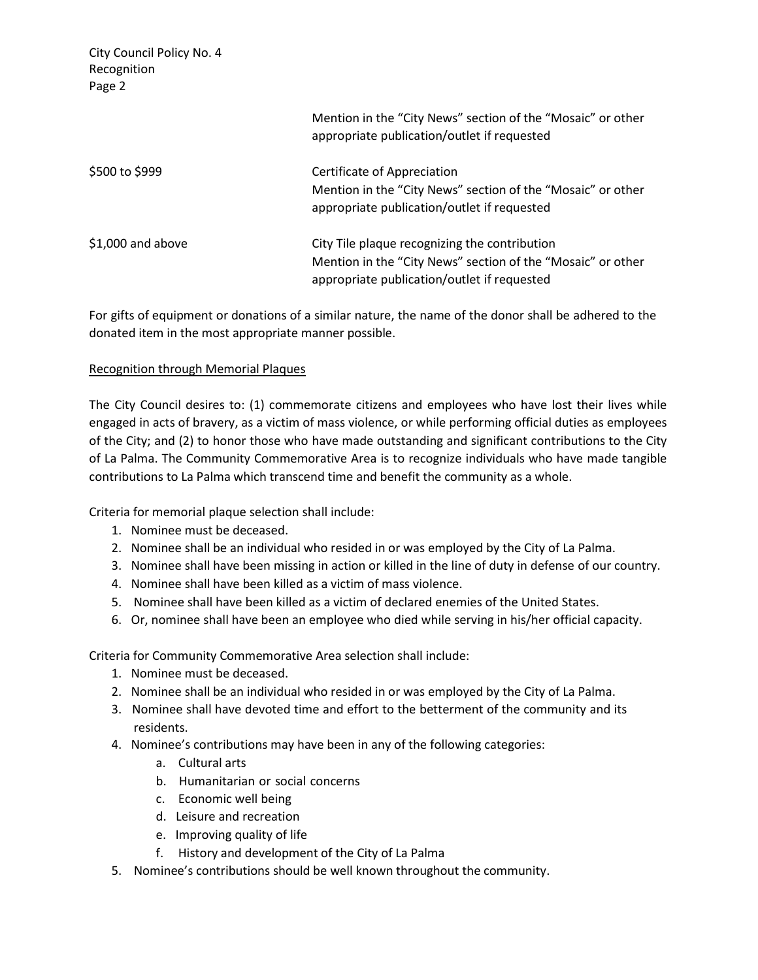City Council Policy No. 4 Recognition Page 2 Mention in the "City News" section of the "Mosaic" or other appropriate publication/outlet if requested \$500 to \$999 Certificate of Appreciation Mention in the "City News" section of the "Mosaic" or other appropriate publication/outlet if requested

\$1,000 and above City Tile plaque recognizing the contribution Mention in the "City News" section of the "Mosaic" or other appropriate publication/outlet if requested

For gifts of equipment or donations of a similar nature, the name of the donor shall be adhered to the donated item in the most appropriate manner possible.

## Recognition through Memorial Plaques

The City Council desires to: (1) commemorate citizens and employees who have lost their lives while engaged in acts of bravery, as a victim of mass violence, or while performing official duties as employees of the City; and (2) to honor those who have made outstanding and significant contributions to the City of La Palma. The Community Commemorative Area is to recognize individuals who have made tangible contributions to La Palma which transcend time and benefit the community as a whole.

Criteria for memorial plaque selection shall include:

- 1. Nominee must be deceased.
- 2. Nominee shall be an individual who resided in or was employed by the City of La Palma.
- 3. Nominee shall have been missing in action or killed in the line of duty in defense of our country.
- 4. Nominee shall have been killed as a victim of mass violence.
- 5. Nominee shall have been killed as a victim of declared enemies of the United States.
- 6. Or, nominee shall have been an employee who died while serving in his/her official capacity.

Criteria for Community Commemorative Area selection shall include:

- 1. Nominee must be deceased.
- 2. Nominee shall be an individual who resided in or was employed by the City of La Palma.
- 3. Nominee shall have devoted time and effort to the betterment of the community and its residents.
- 4. Nominee's contributions may have been in any of the following categories:
	- a. Cultural arts
	- b. Humanitarian or social concerns
	- c. Economic well being
	- d. Leisure and recreation
	- e. Improving quality of life
	- f. History and development of the City of La Palma
- 5. Nominee's contributions should be well known throughout the community.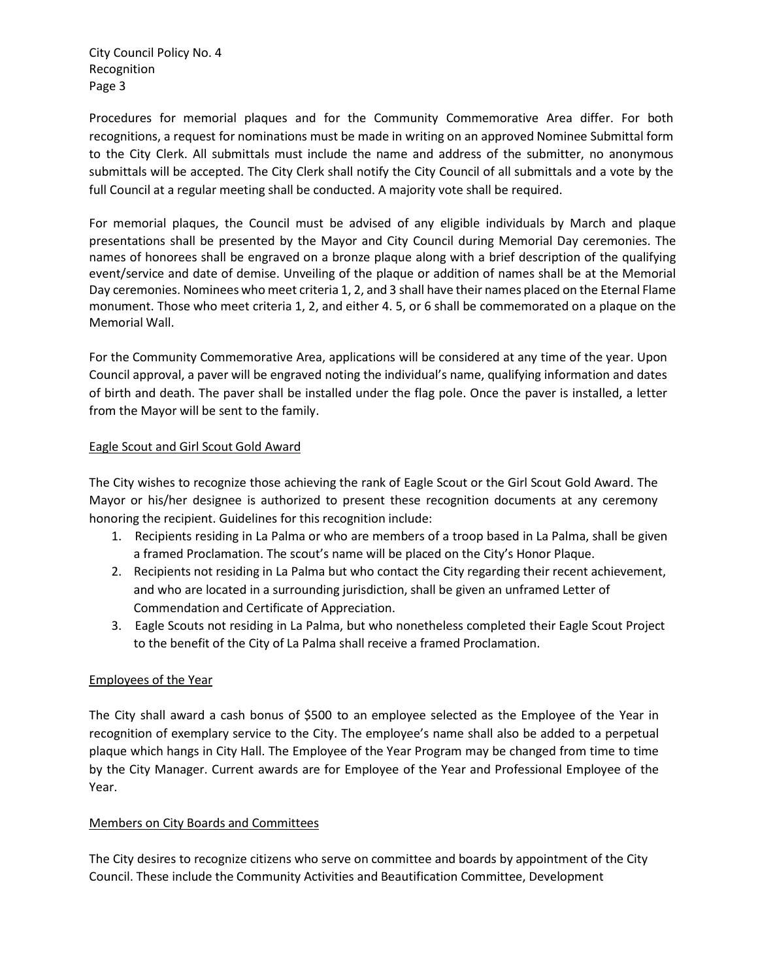City Council Policy No. 4 Recognition Page 3

Procedures for memorial plaques and for the Community Commemorative Area differ. For both recognitions, a request for nominations must be made in writing on an approved Nominee Submittal form to the City Clerk. All submittals must include the name and address of the submitter, no anonymous submittals will be accepted. The City Clerk shall notify the City Council of all submittals and a vote by the full Council at a regular meeting shall be conducted. A majority vote shall be required.

For memorial plaques, the Council must be advised of any eligible individuals by March and plaque presentations shall be presented by the Mayor and City Council during Memorial Day ceremonies. The names of honorees shall be engraved on a bronze plaque along with a brief description of the qualifying event/service and date of demise. Unveiling of the plaque or addition of names shall be at the Memorial Day ceremonies. Nominees who meet criteria 1, 2, and 3 shall have their names placed on the Eternal Flame monument. Those who meet criteria 1, 2, and either 4. 5, or 6 shall be commemorated on a plaque on the Memorial Wall.

For the Community Commemorative Area, applications will be considered at any time of the year. Upon Council approval, a paver will be engraved noting the individual's name, qualifying information and dates of birth and death. The paver shall be installed under the flag pole. Once the paver is installed, a letter from the Mayor will be sent to the family.

# Eagle Scout and Girl Scout Gold Award

The City wishes to recognize those achieving the rank of Eagle Scout or the Girl Scout Gold Award. The Mayor or his/her designee is authorized to present these recognition documents at any ceremony honoring the recipient. Guidelines for this recognition include:

- 1. Recipients residing in La Palma or who are members of a troop based in La Palma, shall be given a framed Proclamation. The scout's name will be placed on the City's Honor Plaque.
- 2. Recipients not residing in La Palma but who contact the City regarding their recent achievement, and who are located in a surrounding jurisdiction, shall be given an unframed Letter of Commendation and Certificate of Appreciation.
- 3. Eagle Scouts not residing in La Palma, but who nonetheless completed their Eagle Scout Project to the benefit of the City of La Palma shall receive a framed Proclamation.

## Employees of the Year

The City shall award a cash bonus of \$500 to an employee selected as the Employee of the Year in recognition of exemplary service to the City. The employee's name shall also be added to a perpetual plaque which hangs in City Hall. The Employee of the Year Program may be changed from time to time by the City Manager. Current awards are for Employee of the Year and Professional Employee of the Year.

## Members on City Boards and Committees

The City desires to recognize citizens who serve on committee and boards by appointment of the City Council. These include the Community Activities and Beautification Committee, Development